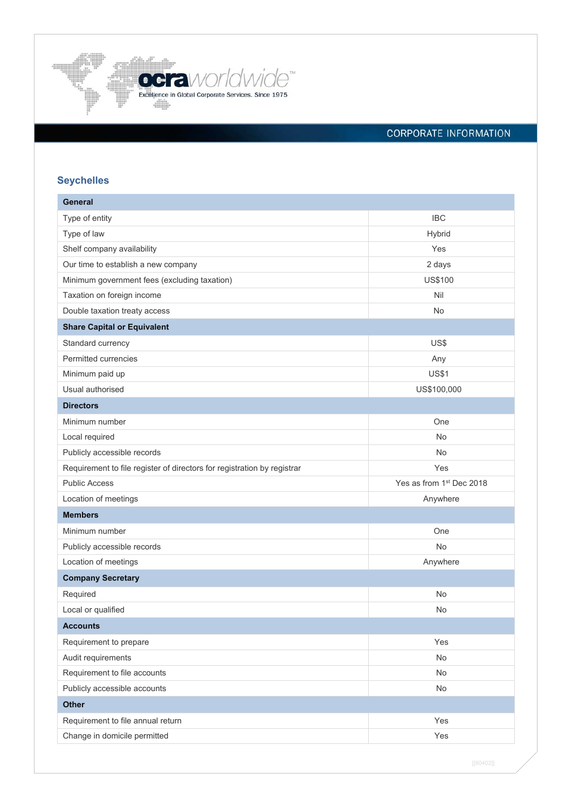

# CORPORATE INFORMATION

# **Seychelles**

| <b>General</b>                                                          |                                      |
|-------------------------------------------------------------------------|--------------------------------------|
| Type of entity                                                          | <b>IBC</b>                           |
| Type of law                                                             | Hybrid                               |
| Shelf company availability                                              | Yes                                  |
| Our time to establish a new company                                     | 2 days                               |
| Minimum government fees (excluding taxation)                            | US\$100                              |
| Taxation on foreign income                                              | Nil                                  |
| Double taxation treaty access                                           | No                                   |
| <b>Share Capital or Equivalent</b>                                      |                                      |
| Standard currency                                                       | US\$                                 |
| Permitted currencies                                                    | Any                                  |
| Minimum paid up                                                         | <b>US\$1</b>                         |
| Usual authorised                                                        | US\$100,000                          |
| <b>Directors</b>                                                        |                                      |
| Minimum number                                                          | One                                  |
| Local required                                                          | No                                   |
| Publicly accessible records                                             | No                                   |
| Requirement to file register of directors for registration by registrar | Yes                                  |
| <b>Public Access</b>                                                    | Yes as from 1 <sup>st</sup> Dec 2018 |
| Location of meetings                                                    | Anywhere                             |
| <b>Members</b>                                                          |                                      |
| Minimum number                                                          | One                                  |
| Publicly accessible records                                             | No                                   |
| Location of meetings                                                    | Anywhere                             |
| <b>Company Secretary</b>                                                |                                      |
| Required                                                                | No                                   |
| Local or qualified                                                      | No                                   |
| <b>Accounts</b>                                                         |                                      |
| Requirement to prepare                                                  | Yes                                  |
| Audit requirements                                                      | No                                   |
| Requirement to file accounts                                            | No                                   |
| Publicly accessible accounts                                            | No                                   |
| <b>Other</b>                                                            |                                      |
| Requirement to file annual return                                       | Yes                                  |
| Change in domicile permitted                                            | Yes                                  |

[[80402]]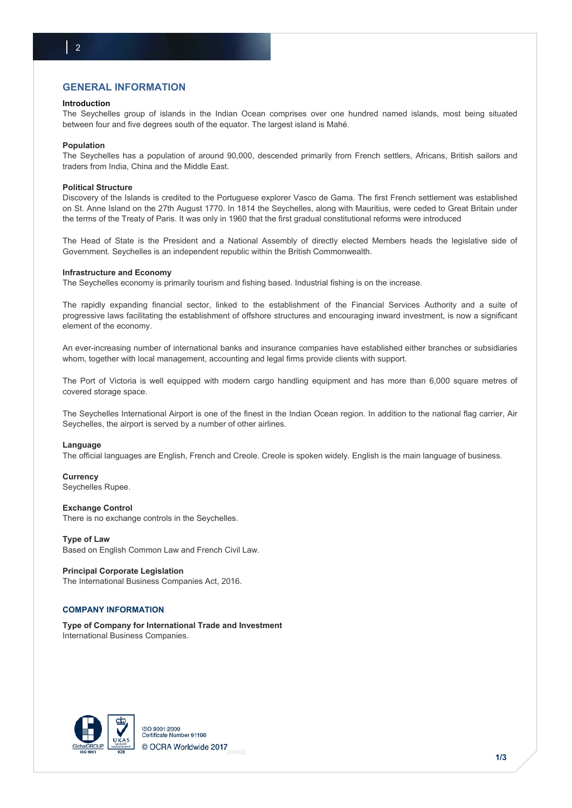# **GENERAL INFORMATION**

#### **Introduction**

The Seychelles group of islands in the Indian Ocean comprises over one hundred named islands, most being situated between four and five degrees south of the equator. The largest island is Mahé.

#### **Population**

The Seychelles has a population of around 90,000, descended primarily from French settlers, Africans, British sailors and traders from India, China and the Middle East.

#### **Political Structure**

Discovery of the Islands is credited to the Portuguese explorer Vasco de Gama. The first French settlement was established on St. Anne Island on the 27th August 1770. In 1814 the Seychelles, along with Mauritius, were ceded to Great Britain under the terms of the Treaty of Paris. It was only in 1960 that the first gradual constitutional reforms were introduced

The Head of State is the President and a National Assembly of directly elected Members heads the legislative side of Government. Seychelles is an independent republic within the British Commonwealth.

#### **Infrastructure and Economy**

The Seychelles economy is primarily tourism and fishing based. Industrial fishing is on the increase.

The rapidly expanding financial sector, linked to the establishment of the Financial Services Authority and a suite of progressive laws facilitating the establishment of offshore structures and encouraging inward investment, is now a significant element of the economy.

An ever-increasing number of international banks and insurance companies have established either branches or subsidiaries whom, together with local management, accounting and legal firms provide clients with support.

The Port of Victoria is well equipped with modern cargo handling equipment and has more than 6,000 square metres of covered storage space.

The Seychelles International Airport is one of the finest in the Indian Ocean region. In addition to the national flag carrier, Air Seychelles, the airport is served by a number of other airlines.

#### **Language**

The official languages are English, French and Creole. Creole is spoken widely. English is the main language of business.

**Currency**  Seychelles Rupee.

#### **Exchange Control**

There is no exchange controls in the Seychelles.

**Type of Law**  Based on English Common Law and French Civil Law.

**Principal Corporate Legislation**  The International Business Companies Act, 2016.

## **COMPANY INFORMATION**

**Type of Company for International Trade and Investment**  International Business Companies.

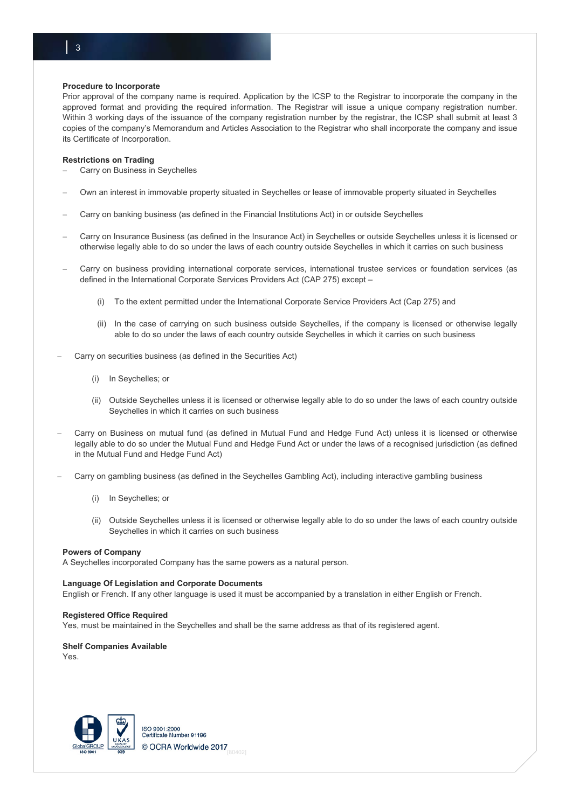#### **Procedure to Incorporate**

Prior approval of the company name is required. Application by the ICSP to the Registrar to incorporate the company in the approved format and providing the required information. The Registrar will issue a unique company registration number. Within 3 working days of the issuance of the company registration number by the registrar, the ICSP shall submit at least 3 copies of the company's Memorandum and Articles Association to the Registrar who shall incorporate the company and issue its Certificate of Incorporation.

### **Restrictions on Trading**

- Carry on Business in Seychelles
- Own an interest in immovable property situated in Seychelles or lease of immovable property situated in Seychelles
- Carry on banking business (as defined in the Financial Institutions Act) in or outside Seychelles
- Carry on Insurance Business (as defined in the Insurance Act) in Seychelles or outside Seychelles unless it is licensed or otherwise legally able to do so under the laws of each country outside Seychelles in which it carries on such business
- Carry on business providing international corporate services, international trustee services or foundation services (as defined in the International Corporate Services Providers Act (CAP 275) except –
	- (i) To the extent permitted under the International Corporate Service Providers Act (Cap 275) and
	- (ii) In the case of carrying on such business outside Seychelles, if the company is licensed or otherwise legally able to do so under the laws of each country outside Seychelles in which it carries on such business
- Carry on securities business (as defined in the Securities Act)
	- (i) In Seychelles; or
	- (ii) Outside Seychelles unless it is licensed or otherwise legally able to do so under the laws of each country outside Seychelles in which it carries on such business
- Carry on Business on mutual fund (as defined in Mutual Fund and Hedge Fund Act) unless it is licensed or otherwise legally able to do so under the Mutual Fund and Hedge Fund Act or under the laws of a recognised jurisdiction (as defined in the Mutual Fund and Hedge Fund Act)
- Carry on gambling business (as defined in the Seychelles Gambling Act), including interactive gambling business
	- (i) In Seychelles; or
	- (ii) Outside Seychelles unless it is licensed or otherwise legally able to do so under the laws of each country outside Seychelles in which it carries on such business

#### **Powers of Company**

A Seychelles incorporated Company has the same powers as a natural person.

### **Language Of Legislation and Corporate Documents**

English or French. If any other language is used it must be accompanied by a translation in either English or French.

#### **Registered Office Required**

Yes, must be maintained in the Seychelles and shall be the same address as that of its registered agent.

# **Shelf Companies Available**

Yes.



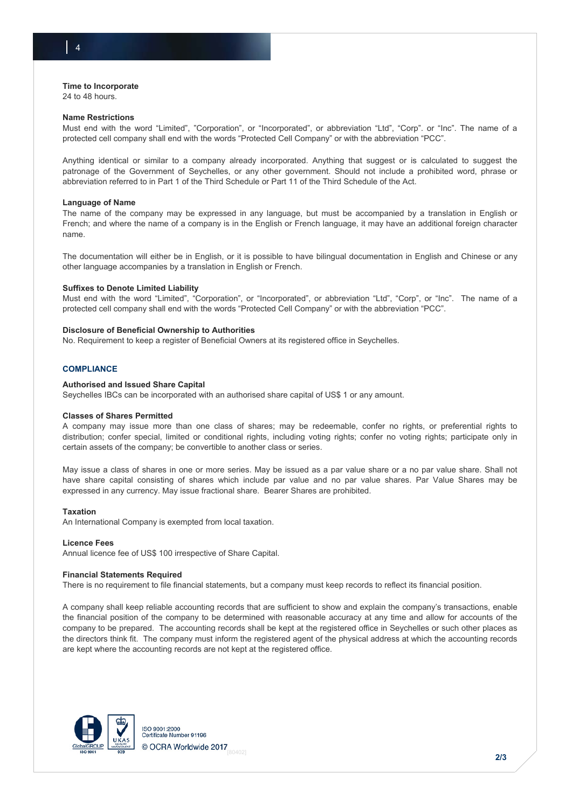# **Time to Incorporate**

24 to 48 hours.

#### **Name Restrictions**

Must end with the word "Limited", "Corporation", or "Incorporated", or abbreviation "Ltd", "Corp". or "Inc". The name of a protected cell company shall end with the words "Protected Cell Company" or with the abbreviation "PCC".

Anything identical or similar to a company already incorporated. Anything that suggest or is calculated to suggest the patronage of the Government of Seychelles, or any other government. Should not include a prohibited word, phrase or abbreviation referred to in Part 1 of the Third Schedule or Part 11 of the Third Schedule of the Act.

#### **Language of Name**

The name of the company may be expressed in any language, but must be accompanied by a translation in English or French; and where the name of a company is in the English or French language, it may have an additional foreign character name.

The documentation will either be in English, or it is possible to have bilingual documentation in English and Chinese or any other language accompanies by a translation in English or French.

### **Suffixes to Denote Limited Liability**

Must end with the word "Limited", "Corporation", or "Incorporated", or abbreviation "Ltd", "Corp", or "Inc". The name of a protected cell company shall end with the words "Protected Cell Company" or with the abbreviation "PCC".

### **Disclosure of Beneficial Ownership to Authorities**

No. Requirement to keep a register of Beneficial Owners at its registered office in Seychelles.

### **COMPLIANCE**

#### **Authorised and Issued Share Capital**

Seychelles IBCs can be incorporated with an authorised share capital of US\$ 1 or any amount.

#### **Classes of Shares Permitted**

A company may issue more than one class of shares; may be redeemable, confer no rights, or preferential rights to distribution; confer special, limited or conditional rights, including voting rights; confer no voting rights; participate only in certain assets of the company; be convertible to another class or series.

May issue a class of shares in one or more series. May be issued as a par value share or a no par value share. Shall not have share capital consisting of shares which include par value and no par value shares. Par Value Shares may be expressed in any currency. May issue fractional share. Bearer Shares are prohibited.

#### **Taxation**

An International Company is exempted from local taxation.

#### **Licence Fees**

Annual licence fee of US\$ 100 irrespective of Share Capital.

#### **Financial Statements Required**

There is no requirement to file financial statements, but a company must keep records to reflect its financial position.

A company shall keep reliable accounting records that are sufficient to show and explain the company's transactions, enable the financial position of the company to be determined with reasonable accuracy at any time and allow for accounts of the company to be prepared. The accounting records shall be kept at the registered office in Seychelles or such other places as the directors think fit. The company must inform the registered agent of the physical address at which the accounting records are kept where the accounting records are not kept at the registered office.